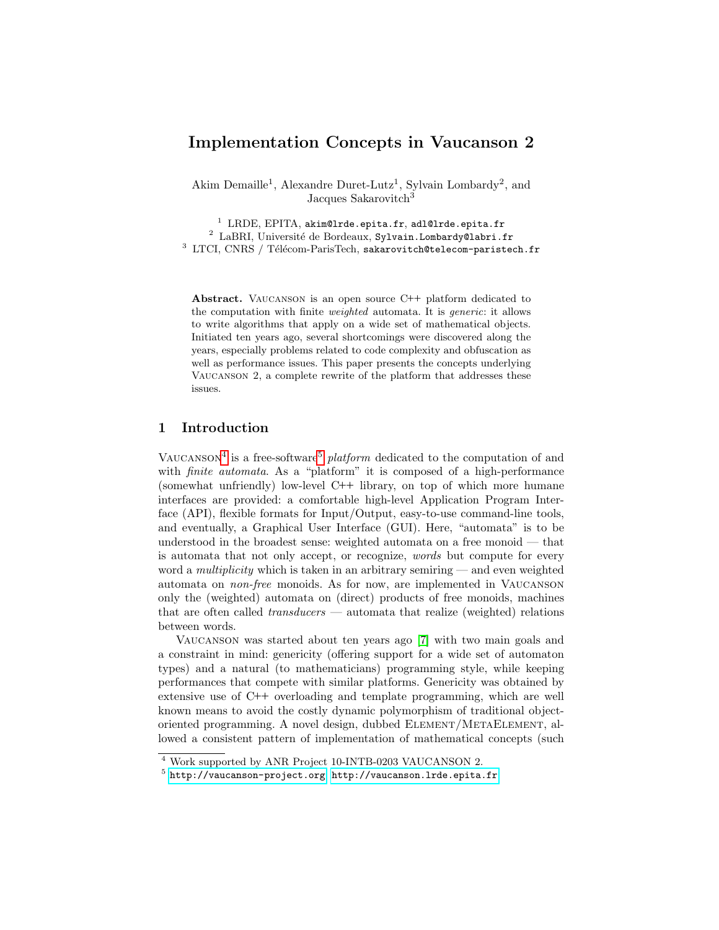# Implementation Concepts in Vaucanson 2

Akim Demaille<sup>1</sup>, Alexandre Duret-Lutz<sup>1</sup>, Sylvain Lombardy<sup>2</sup>, and Jacques Sakarovitch<sup>3</sup>

 $1$  LRDE, EPITA, akim@lrde.epita.fr, adl@lrde.epita.fr  $2$  LaBRI, Université de Bordeaux, Sylvain.Lombardy@labri.fr  $3$  LTCI, CNRS / Télécom-ParisTech, sakarovitch@telecom-paristech.fr

Abstract. Vaucanson is an open source C++ platform dedicated to the computation with finite weighted automata. It is generic: it allows to write algorithms that apply on a wide set of mathematical objects. Initiated ten years ago, several shortcomings were discovered along the years, especially problems related to code complexity and obfuscation as well as performance issues. This paper presents the concepts underlying Vaucanson 2, a complete rewrite of the platform that addresses these issues.

# 1 Introduction

VAUCANSON<sup>[4](#page-0-0)</sup> is a free-software<sup>[5](#page-0-1)</sup> platform dedicated to the computation of and with *finite automata*. As a "platform" it is composed of a high-performance (somewhat unfriendly) low-level C++ library, on top of which more humane interfaces are provided: a comfortable high-level Application Program Interface (API), flexible formats for Input/Output, easy-to-use command-line tools, and eventually, a Graphical User Interface (GUI). Here, "automata" is to be understood in the broadest sense: weighted automata on a free monoid — that is automata that not only accept, or recognize, words but compute for every word a *multiplicity* which is taken in an arbitrary semiring — and even weighted automata on non-free monoids. As for now, are implemented in Vaucanson only the (weighted) automata on (direct) products of free monoids, machines that are often called  $transducers$  — automata that realize (weighted) relations between words.

Vaucanson was started about ten years ago [\[7\]](#page-11-0) with two main goals and a constraint in mind: genericity (offering support for a wide set of automaton types) and a natural (to mathematicians) programming style, while keeping performances that compete with similar platforms. Genericity was obtained by extensive use of C++ overloading and template programming, which are well known means to avoid the costly dynamic polymorphism of traditional objectoriented programming. A novel design, dubbed Element/MetaElement, allowed a consistent pattern of implementation of mathematical concepts (such

<span id="page-0-0"></span><sup>4</sup> Work supported by ANR Project 10-INTB-0203 VAUCANSON 2.

<span id="page-0-1"></span> $^5$  <http://vaucanson-project.org>, <http://vaucanson.lrde.epita.fr>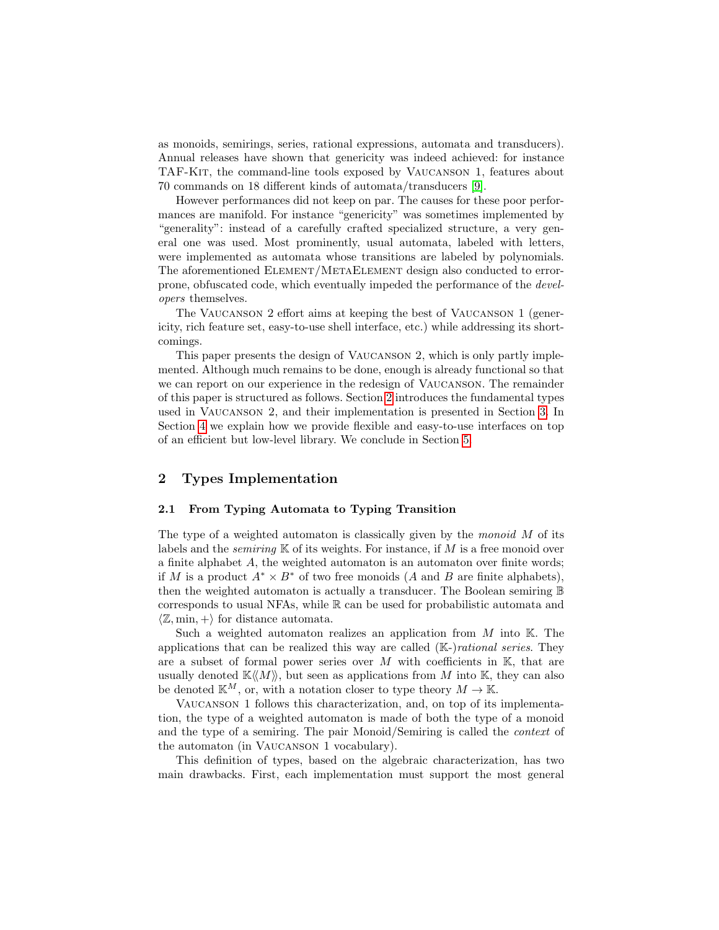as monoids, semirings, series, rational expressions, automata and transducers). Annual releases have shown that genericity was indeed achieved: for instance TAF-Kit, the command-line tools exposed by Vaucanson 1, features about 70 commands on 18 different kinds of automata/transducers [\[9\]](#page-11-1).

However performances did not keep on par. The causes for these poor performances are manifold. For instance "genericity" was sometimes implemented by "generality": instead of a carefully crafted specialized structure, a very general one was used. Most prominently, usual automata, labeled with letters, were implemented as automata whose transitions are labeled by polynomials. The aforementioned ELEMENT/METAELEMENT design also conducted to errorprone, obfuscated code, which eventually impeded the performance of the developers themselves.

The Vaucanson 2 effort aims at keeping the best of Vaucanson 1 (genericity, rich feature set, easy-to-use shell interface, etc.) while addressing its shortcomings.

This paper presents the design of Vaucanson 2, which is only partly implemented. Although much remains to be done, enough is already functional so that we can report on our experience in the redesign of Vaucanson. The remainder of this paper is structured as follows. Section [2](#page-1-0) introduces the fundamental types used in Vaucanson 2, and their implementation is presented in Section [3.](#page-5-0) In Section [4](#page-7-0) we explain how we provide flexible and easy-to-use interfaces on top of an efficient but low-level library. We conclude in Section [5.](#page-10-0)

# <span id="page-1-0"></span>2 Types Implementation

### 2.1 From Typing Automata to Typing Transition

The type of a weighted automaton is classically given by the *monoid*  $M$  of its labels and the *semiring*  $K$  of its weights. For instance, if  $M$  is a free monoid over a finite alphabet A, the weighted automaton is an automaton over finite words; if M is a product  $A^* \times B^*$  of two free monoids (A and B are finite alphabets), then the weighted automaton is actually a transducer. The Boolean semiring B corresponds to usual NFAs, while R can be used for probabilistic automata and  $\langle \mathbb{Z}, \min, +\rangle$  for distance automata.

Such a weighted automaton realizes an application from  $M$  into  $K$ . The applications that can be realized this way are called  $(K-)rational$  series. They are a subset of formal power series over  $M$  with coefficients in  $K$ , that are usually denoted  $\mathbb{K}\langle\langle M\rangle\rangle$ , but seen as applications from M into K, they can also be denoted  $\mathbb{K}^M$ , or, with a notation closer to type theory  $M \to \mathbb{K}$ .

Vaucanson 1 follows this characterization, and, on top of its implementation, the type of a weighted automaton is made of both the type of a monoid and the type of a semiring. The pair Monoid/Semiring is called the context of the automaton (in Vaucanson 1 vocabulary).

This definition of types, based on the algebraic characterization, has two main drawbacks. First, each implementation must support the most general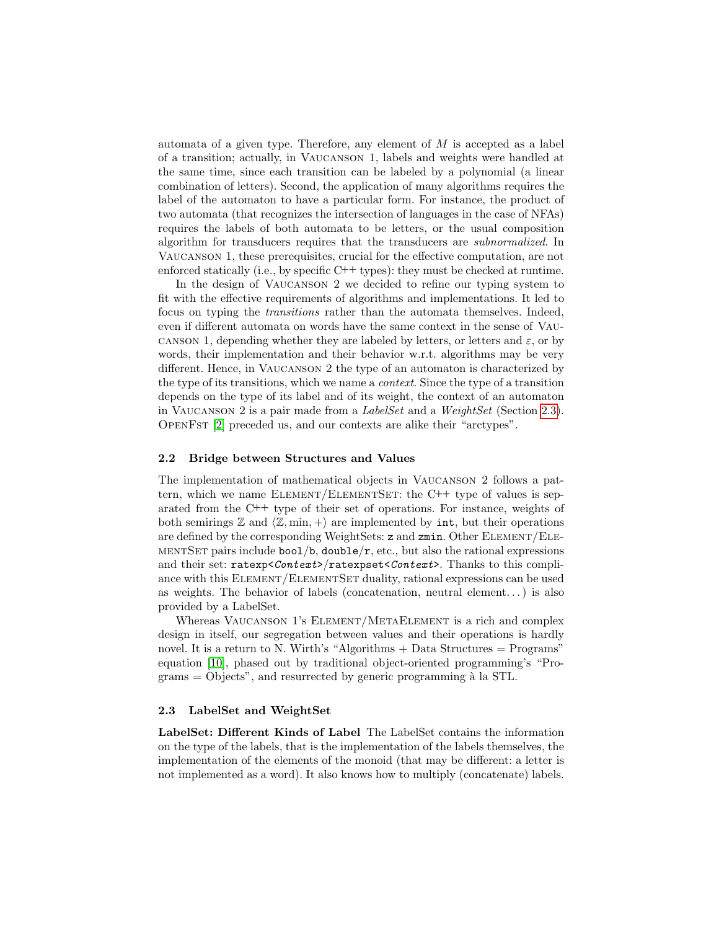automata of a given type. Therefore, any element of  $M$  is accepted as a label of a transition; actually, in Vaucanson 1, labels and weights were handled at the same time, since each transition can be labeled by a polynomial (a linear combination of letters). Second, the application of many algorithms requires the label of the automaton to have a particular form. For instance, the product of two automata (that recognizes the intersection of languages in the case of NFAs) requires the labels of both automata to be letters, or the usual composition algorithm for transducers requires that the transducers are subnormalized. In Vaucanson 1, these prerequisites, crucial for the effective computation, are not enforced statically (i.e., by specific C++ types): they must be checked at runtime.

In the design of Vaucanson 2 we decided to refine our typing system to fit with the effective requirements of algorithms and implementations. It led to focus on typing the transitions rather than the automata themselves. Indeed, even if different automata on words have the same context in the sense of Vaucanson 1, depending whether they are labeled by letters, or letters and  $\varepsilon$ , or by words, their implementation and their behavior w.r.t. algorithms may be very different. Hence, in Vaucanson 2 the type of an automaton is characterized by the type of its transitions, which we name a context. Since the type of a transition depends on the type of its label and of its weight, the context of an automaton in Vaucanson 2 is a pair made from a LabelSet and a WeightSet (Section [2.3\)](#page-2-0). OpenFst [\[2\]](#page-11-2) preceded us, and our contexts are alike their "arctypes".

#### 2.2 Bridge between Structures and Values

The implementation of mathematical objects in Vaucanson 2 follows a pattern, which we name  $ELEMENT/ELEMENTSET$ : the C++ type of values is separated from the C++ type of their set of operations. For instance, weights of both semirings  $\mathbb Z$  and  $\langle \mathbb Z, \min, +\rangle$  are implemented by int, but their operations are defined by the corresponding WeightSets: z and zmin. Other Element/Ele-MENTSET pairs include bool/b, double/r, etc., but also the rational expressions and their set:  $ratexp \leq Context$  ratexpset < Context>. Thanks to this compliance with this ELEMENT/ELEMENTSET duality, rational expressions can be used as weights. The behavior of labels (concatenation, neutral element. . . ) is also provided by a LabelSet.

Whereas Vaucanson 1's Element/MetaElement is a rich and complex design in itself, our segregation between values and their operations is hardly novel. It is a return to N. Wirth's "Algorithms  $+$  Data Structures  $=$  Programs" equation [\[10\]](#page-11-3), phased out by traditional object-oriented programming's "Pro $grams = Objects$ , and resurrected by generic programming à la STL.

#### <span id="page-2-0"></span>2.3 LabelSet and WeightSet

LabelSet: Different Kinds of Label The LabelSet contains the information on the type of the labels, that is the implementation of the labels themselves, the implementation of the elements of the monoid (that may be different: a letter is not implemented as a word). It also knows how to multiply (concatenate) labels.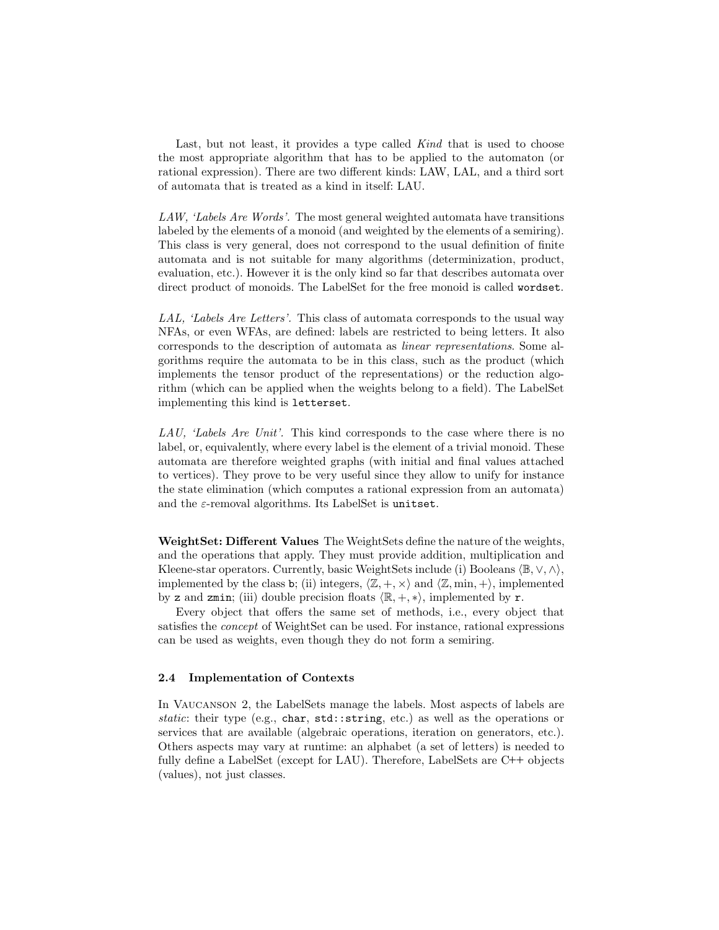Last, but not least, it provides a type called Kind that is used to choose the most appropriate algorithm that has to be applied to the automaton (or rational expression). There are two different kinds: LAW, LAL, and a third sort of automata that is treated as a kind in itself: LAU.

LAW, 'Labels Are Words'. The most general weighted automata have transitions labeled by the elements of a monoid (and weighted by the elements of a semiring). This class is very general, does not correspond to the usual definition of finite automata and is not suitable for many algorithms (determinization, product, evaluation, etc.). However it is the only kind so far that describes automata over direct product of monoids. The LabelSet for the free monoid is called wordset.

LAL, 'Labels Are Letters'. This class of automata corresponds to the usual way NFAs, or even WFAs, are defined: labels are restricted to being letters. It also corresponds to the description of automata as linear representations. Some algorithms require the automata to be in this class, such as the product (which implements the tensor product of the representations) or the reduction algorithm (which can be applied when the weights belong to a field). The LabelSet implementing this kind is letterset.

LAU, 'Labels Are Unit'. This kind corresponds to the case where there is no label, or, equivalently, where every label is the element of a trivial monoid. These automata are therefore weighted graphs (with initial and final values attached to vertices). They prove to be very useful since they allow to unify for instance the state elimination (which computes a rational expression from an automata) and the  $\varepsilon$ -removal algorithms. Its LabelSet is unitset.

WeightSet: Different Values The WeightSets define the nature of the weights, and the operations that apply. They must provide addition, multiplication and Kleene-star operators. Currently, basic WeightSets include (i) Booleans  $\langle \mathbb{B}, \vee, \wedge \rangle$ , implemented by the class b; (ii) integers,  $\langle \mathbb{Z}, +, \times \rangle$  and  $\langle \mathbb{Z}, \min, +\rangle$ , implemented by z and zmin; (iii) double precision floats  $\langle \mathbb{R}, +, \ast \rangle$ , implemented by r.

Every object that offers the same set of methods, i.e., every object that satisfies the *concept* of WeightSet can be used. For instance, rational expressions can be used as weights, even though they do not form a semiring.

#### 2.4 Implementation of Contexts

In Vaucanson 2, the LabelSets manage the labels. Most aspects of labels are static: their type (e.g., char, std::string, etc.) as well as the operations or services that are available (algebraic operations, iteration on generators, etc.). Others aspects may vary at runtime: an alphabet (a set of letters) is needed to fully define a LabelSet (except for LAU). Therefore, LabelSets are C++ objects (values), not just classes.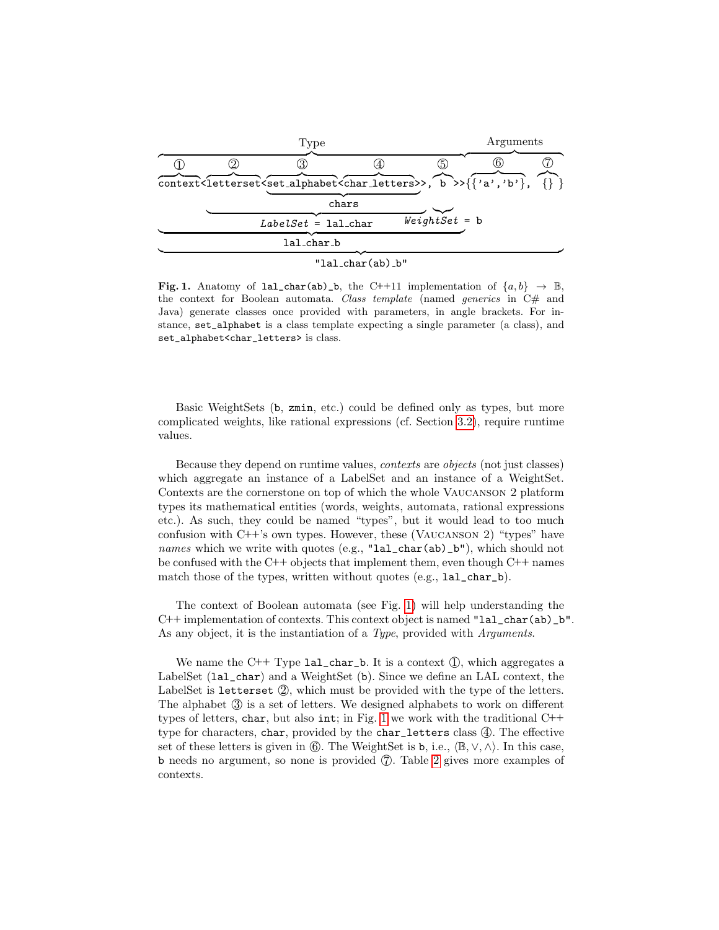

<span id="page-4-0"></span>Fig. 1. Anatomy of lal\_char(ab)\_b, the C++11 implementation of  $\{a, b\} \rightarrow \mathbb{B}$ , the context for Boolean automata. Class template (named generics in  $C#$  and Java) generate classes once provided with parameters, in angle brackets. For instance, set\_alphabet is a class template expecting a single parameter (a class), and set\_alphabet<char\_letters> is class.

Basic WeightSets (b, zmin, etc.) could be defined only as types, but more complicated weights, like rational expressions (cf. Section [3.2\)](#page-6-0), require runtime values.

Because they depend on runtime values, contexts are objects (not just classes) which aggregate an instance of a LabelSet and an instance of a WeightSet. Contexts are the cornerstone on top of which the whole Vaucanson 2 platform types its mathematical entities (words, weights, automata, rational expressions etc.). As such, they could be named "types", but it would lead to too much confusion with C++'s own types. However, these (Vaucanson 2) "types" have names which we write with quotes (e.g., " $l$ al\_char(ab)\_b"), which should not be confused with the C++ objects that implement them, even though C++ names match those of the types, written without quotes (e.g.,  $\text{la}_\mathbf{r}$ ).

The context of Boolean automata (see Fig. [1\)](#page-4-0) will help understanding the C++ implementation of contexts. This context object is named "lal\_char(ab)\_b". As any object, it is the instantiation of a Type, provided with Arguments.

We name the  $C++$  Type  $\text{lail\_char\_b}$ . It is a context  $\mathbb{I}$ , which aggregates a LabelSet (1a1\_char) and a WeightSet (b). Since we define an LAL context, the LabelSet is letterset  $(2)$ , which must be provided with the type of the letters. The alphabet 3 is a set of letters. We designed alphabets to work on different types of letters, char, but also int; in Fig. [1](#page-4-0) we work with the traditional C++ type for characters, char, provided by the char\_letters class  $(4)$ . The effective set of these letters is given in  $(6)$ . The WeightSet is b, i.e.,  $\langle \mathbb{B}, \vee, \wedge \rangle$ . In this case, b needs no argument, so none is provided  $\mathbb{O}$ . Table [2](#page-5-1) gives more examples of contexts.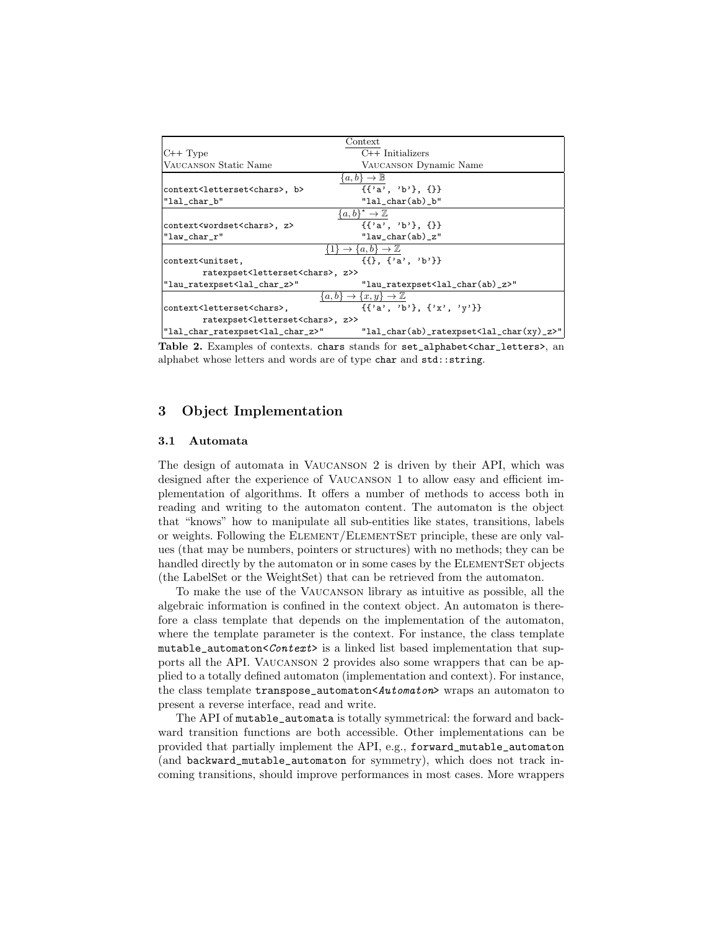| Context                                                                                        |                                                            |
|------------------------------------------------------------------------------------------------|------------------------------------------------------------|
|                                                                                                |                                                            |
| $C++$ Type                                                                                     | $C++$ Initializers                                         |
| VAUCANSON Static Name                                                                          | VAUCANSON Dynamic Name                                     |
| ${a,b}\rightarrow\mathbb{B}$                                                                   |                                                            |
| context <letterset<chars>, b&gt;</letterset<chars>                                             | $\{\{'a', 'b'\}, \{\}\}$                                   |
| "lal_char_b"                                                                                   | $"lal_{char}(ab)_{b"$                                      |
| ${a,b}^* \rightarrow \mathbb{Z}$                                                               |                                                            |
| context <wordset<chars>, z&gt;</wordset<chars>                                                 | $\{\{'a', 'b'\}, \{\}\}$                                   |
| "law_char_r"                                                                                   | " $law_{char}(ab)_{z}$ "                                   |
| $\{1\} \rightarrow \{a, b\} \rightarrow \mathbb{Z}$                                            |                                                            |
| context <unitset,< td=""><td><math>\{\{\}</math>, <math>\{\}'</math>a', 'b'}}</td></unitset,<> | $\{\{\}$ , $\{\}'$ a', 'b'}}                               |
| ratexpset <letterset<chars>, z&gt;&gt;</letterset<chars>                                       |                                                            |
| "lau_ratexpset <lal_char_z>"</lal_char_z>                                                      | "lau_ratexpset <lal_char(ab)_z>"</lal_char(ab)_z>          |
| $\{a,b\} \rightarrow \{x,y\} \rightarrow \mathbb{Z}$                                           |                                                            |
| context <letterset<chars>,</letterset<chars>                                                   | $\{\{'a', 'b'\}, \{'x', 'y'\}\}$                           |
| ratexpset <letterset<chars>, z&gt;&gt;</letterset<chars>                                       |                                                            |
| "lal_char_ratexpset <lal_char_z>"</lal_char_z>                                                 | "lal_char(ab)_ratexpset <lal_char(xy)_z>"</lal_char(xy)_z> |

<span id="page-5-1"></span>Table 2. Examples of contexts. chars stands for set\_alphabet<char\_letters>, an alphabet whose letters and words are of type char and std::string.

## <span id="page-5-0"></span>3 Object Implementation

#### 3.1 Automata

The design of automata in Vaucanson 2 is driven by their API, which was designed after the experience of Vaucanson 1 to allow easy and efficient implementation of algorithms. It offers a number of methods to access both in reading and writing to the automaton content. The automaton is the object that "knows" how to manipulate all sub-entities like states, transitions, labels or weights. Following the Element/ElementSet principle, these are only values (that may be numbers, pointers or structures) with no methods; they can be handled directly by the automaton or in some cases by the ELEMENTSET objects (the LabelSet or the WeightSet) that can be retrieved from the automaton.

To make the use of the Vaucanson library as intuitive as possible, all the algebraic information is confined in the context object. An automaton is therefore a class template that depends on the implementation of the automaton, where the template parameter is the context. For instance, the class template  $mutable_automaton **Context** is a linked list based implementation that sup$ ports all the API. Vaucanson 2 provides also some wrappers that can be applied to a totally defined automaton (implementation and context). For instance, the class template transpose\_automaton<Automaton> wraps an automaton to present a reverse interface, read and write.

The API of mutable\_automata is totally symmetrical: the forward and backward transition functions are both accessible. Other implementations can be provided that partially implement the API, e.g., forward\_mutable\_automaton (and backward\_mutable\_automaton for symmetry), which does not track incoming transitions, should improve performances in most cases. More wrappers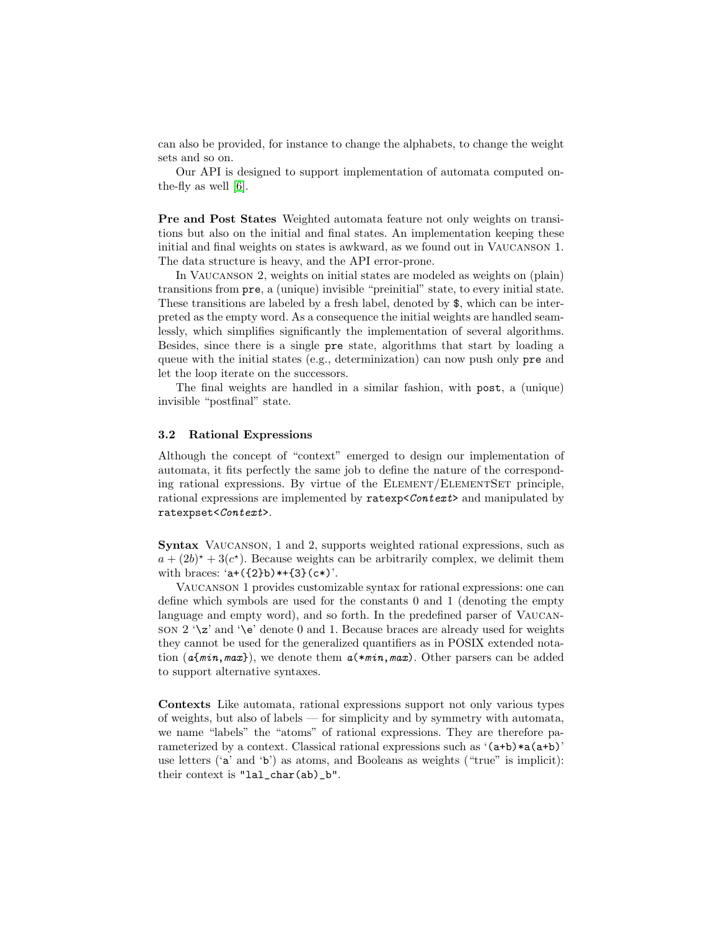can also be provided, for instance to change the alphabets, to change the weight sets and so on.

Our API is designed to support implementation of automata computed onthe-fly as well [\[6\]](#page-11-4).

Pre and Post States Weighted automata feature not only weights on transitions but also on the initial and final states. An implementation keeping these initial and final weights on states is awkward, as we found out in Vaucanson 1. The data structure is heavy, and the API error-prone.

In Vaucanson 2, weights on initial states are modeled as weights on (plain) transitions from pre, a (unique) invisible "preinitial" state, to every initial state. These transitions are labeled by a fresh label, denoted by  $\hat{\boldsymbol{\mathsf{s}}}$ , which can be interpreted as the empty word. As a consequence the initial weights are handled seamlessly, which simplifies significantly the implementation of several algorithms. Besides, since there is a single pre state, algorithms that start by loading a queue with the initial states (e.g., determinization) can now push only pre and let the loop iterate on the successors.

The final weights are handled in a similar fashion, with post, a (unique) invisible "postfinal" state.

#### <span id="page-6-0"></span>3.2 Rational Expressions

Although the concept of "context" emerged to design our implementation of automata, it fits perfectly the same job to define the nature of the corresponding rational expressions. By virtue of the ELEMENT/ELEMENTSET principle, rational expressions are implemented by ratexp<Context> and manipulated by ratexpset<Context>.

Syntax Vaucanson, 1 and 2, supports weighted rational expressions, such as  $a + (2b)^{\star} + 3(c^{\star})$ . Because weights can be arbitrarily complex, we delimit them with braces:  $a+(2)b)*(3(c*)$ .

Vaucanson 1 provides customizable syntax for rational expressions: one can define which symbols are used for the constants 0 and 1 (denoting the empty language and empty word), and so forth. In the predefined parser of Vaucanson 2  $\zeta$  and  $\zeta$  denote 0 and 1. Because braces are already used for weights they cannot be used for the generalized quantifiers as in POSIX extended notation ( $a\{\text{min},\text{max}\}\)$ , we denote them  $a(*\text{min},\text{max})$ ). Other parsers can be added to support alternative syntaxes.

Contexts Like automata, rational expressions support not only various types of weights, but also of labels — for simplicity and by symmetry with automata, we name "labels" the "atoms" of rational expressions. They are therefore parameterized by a context. Classical rational expressions such as '(a+b)\*a(a+b)' use letters ('a' and 'b') as atoms, and Booleans as weights ("true" is implicit): their context is "lal\_char(ab)\_b".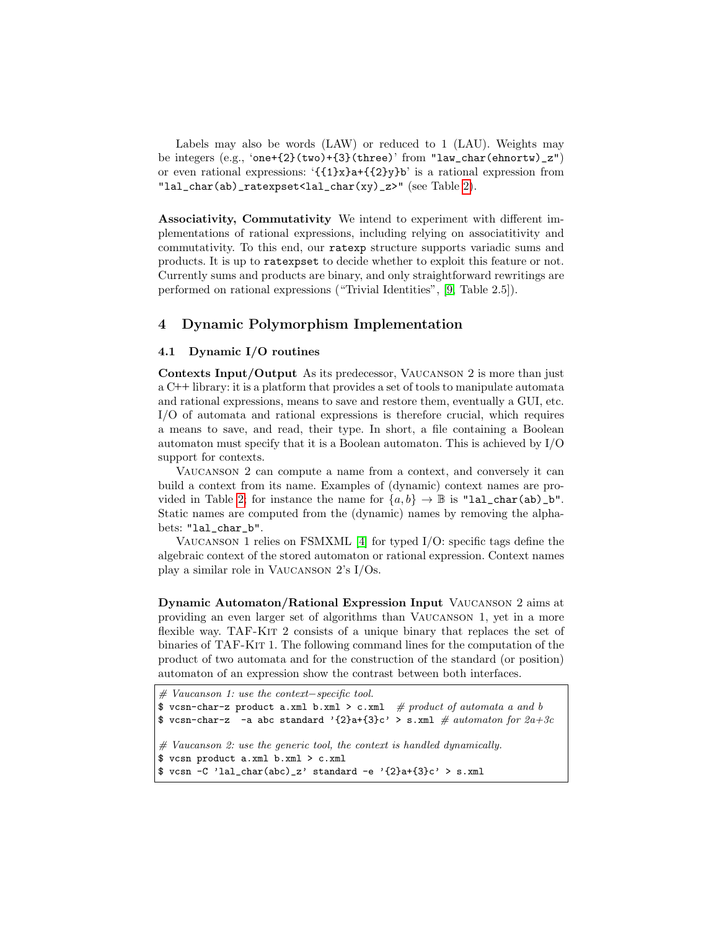Labels may also be words (LAW) or reduced to 1 (LAU). Weights may be integers (e.g., 'one+{2}(two)+{3}(three)' from "law\_char(ehnortw)\_z") or even rational expressions: '{{1}x}a+{{2}y}b' is a rational expression from "lal\_char(ab)\_ratexpset<lal\_char(xy)\_z>" (see Table [2\)](#page-5-1).

Associativity, Commutativity We intend to experiment with different implementations of rational expressions, including relying on associatitivity and commutativity. To this end, our ratexp structure supports variadic sums and products. It is up to ratexpset to decide whether to exploit this feature or not. Currently sums and products are binary, and only straightforward rewritings are performed on rational expressions ("Trivial Identities", [\[9,](#page-11-1) Table 2.5]).

### <span id="page-7-0"></span>4 Dynamic Polymorphism Implementation

### 4.1 Dynamic I/O routines

Contexts Input/Output As its predecessor, Vaucanson 2 is more than just a C++ library: it is a platform that provides a set of tools to manipulate automata and rational expressions, means to save and restore them, eventually a GUI, etc. I/O of automata and rational expressions is therefore crucial, which requires a means to save, and read, their type. In short, a file containing a Boolean automaton must specify that it is a Boolean automaton. This is achieved by I/O support for contexts.

Vaucanson 2 can compute a name from a context, and conversely it can build a context from its name. Examples of (dynamic) context names are pro-vided in Table [2;](#page-5-1) for instance the name for  $\{a, b\} \to \mathbb{B}$  is "lal\_char(ab)\_b". Static names are computed from the (dynamic) names by removing the alphabets: "lal\_char\_b".

Vaucanson 1 relies on FSMXML [\[4\]](#page-11-5) for typed I/O: specific tags define the algebraic context of the stored automaton or rational expression. Context names play a similar role in Vaucanson 2's I/Os.

Dynamic Automaton/Rational Expression Input Vaucanson 2 aims at providing an even larger set of algorithms than Vaucanson 1, yet in a more flexible way. TAF-KIT 2 consists of a unique binary that replaces the set of binaries of TAF-Kit 1. The following command lines for the computation of the product of two automata and for the construction of the standard (or position) automaton of an expression show the contrast between both interfaces.

```
# Vaucanson 1: use the context−specific tool.
\text{\$ vcsn-char-z product a.xml b.xml > c.xml \# product of automata a and b\sqrt{$} vcsn-char-z -a abc standard '{2}a+{3}c' > s.xml \# automaton for 2a+3c# Vaucanson 2: use the generic tool, the context is handled dynamically.
$ vcsn product a.xml b.xml > c.xml
\text{\$ vcsn -C 'lal_char(abc)_z' standard -e '{}2a+{}3c' > s.xml }
```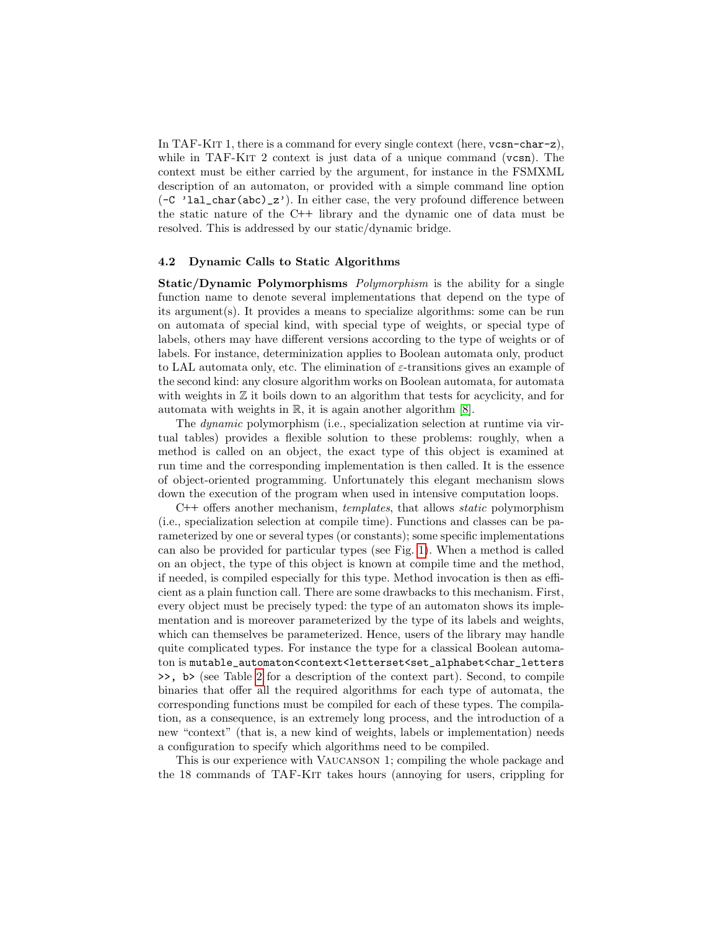In TAF-KIT 1, there is a command for every single context (here,  $vcsn - char-z$ ), while in TAF-KIT 2 context is just data of a unique command ( $vcsn$ ). The context must be either carried by the argument, for instance in the FSMXML description of an automaton, or provided with a simple command line option  $(-C')$ lal\_char(abc)\_z'). In either case, the very profound difference between the static nature of the C++ library and the dynamic one of data must be resolved. This is addressed by our static/dynamic bridge.

#### 4.2 Dynamic Calls to Static Algorithms

Static/Dynamic Polymorphisms *Polymorphism* is the ability for a single function name to denote several implementations that depend on the type of its argument(s). It provides a means to specialize algorithms: some can be run on automata of special kind, with special type of weights, or special type of labels, others may have different versions according to the type of weights or of labels. For instance, determinization applies to Boolean automata only, product to LAL automata only, etc. The elimination of  $\varepsilon$ -transitions gives an example of the second kind: any closure algorithm works on Boolean automata, for automata with weights in  $\mathbb Z$  it boils down to an algorithm that tests for acyclicity, and for automata with weights in R, it is again another algorithm [\[8\]](#page-11-6).

The dynamic polymorphism (i.e., specialization selection at runtime via virtual tables) provides a flexible solution to these problems: roughly, when a method is called on an object, the exact type of this object is examined at run time and the corresponding implementation is then called. It is the essence of object-oriented programming. Unfortunately this elegant mechanism slows down the execution of the program when used in intensive computation loops.

C++ offers another mechanism, templates, that allows static polymorphism (i.e., specialization selection at compile time). Functions and classes can be parameterized by one or several types (or constants); some specific implementations can also be provided for particular types (see Fig. [1\)](#page-4-0). When a method is called on an object, the type of this object is known at compile time and the method, if needed, is compiled especially for this type. Method invocation is then as efficient as a plain function call. There are some drawbacks to this mechanism. First, every object must be precisely typed: the type of an automaton shows its implementation and is moreover parameterized by the type of its labels and weights, which can themselves be parameterized. Hence, users of the library may handle quite complicated types. For instance the type for a classical Boolean automaton is mutable\_automaton<context<letterset<set\_alphabet<char\_letters >>, b> (see Table [2](#page-5-1) for a description of the context part). Second, to compile binaries that offer all the required algorithms for each type of automata, the corresponding functions must be compiled for each of these types. The compilation, as a consequence, is an extremely long process, and the introduction of a new "context" (that is, a new kind of weights, labels or implementation) needs a configuration to specify which algorithms need to be compiled.

This is our experience with Vaucanson 1; compiling the whole package and the 18 commands of TAF-Kit takes hours (annoying for users, crippling for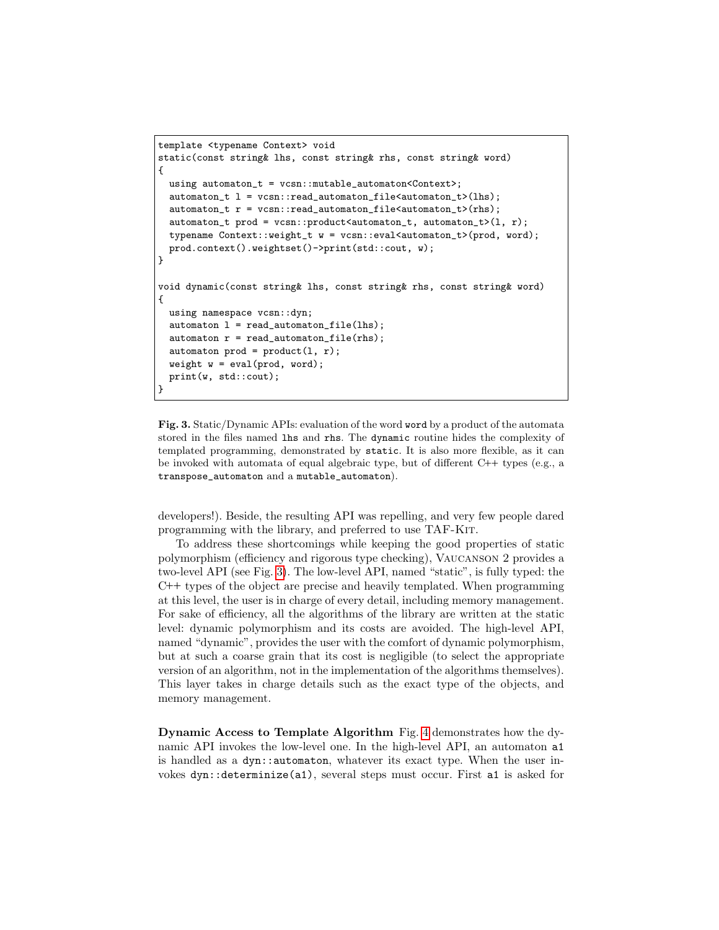```
template <typename Context> void
static(const string& lhs, const string& rhs, const string& word)
{
 using automaton_t = vcsn::mutable_automaton<Context>;
 automaton_t l = vcsn::read_automaton_file<math>\langle \text{auto} \rangle (lhs);
 automaton_t r = vcsn::read_automaton_file<automaton_t>(rhs);
 automaton_t prod = vcsn::product<automaton_t, automaton_t>(1, r);
 typename Context::weight_t w = vcsn::eval<automaton_t>(prod, word);
 prod.context().weightset()->print(std::cout, w);
}
void dynamic(const string& lhs, const string& rhs, const string& word)
{
 using namespace vcsn::dyn;
 autom 1 = read_automaton_file(lhs);automaton r = read_automaton_file(rhs);automaton prod = product(1, r);weight w = eval(pred, word);print(w, std::cout);
}
```
<span id="page-9-0"></span>Fig. 3. Static/Dynamic APIs: evaluation of the word word by a product of the automata stored in the files named lhs and rhs. The dynamic routine hides the complexity of templated programming, demonstrated by static. It is also more flexible, as it can be invoked with automata of equal algebraic type, but of different C++ types (e.g., a transpose\_automaton and a mutable\_automaton).

developers!). Beside, the resulting API was repelling, and very few people dared programming with the library, and preferred to use TAF-Kit.

To address these shortcomings while keeping the good properties of static polymorphism (efficiency and rigorous type checking), Vaucanson 2 provides a two-level API (see Fig. [3\)](#page-9-0). The low-level API, named "static", is fully typed: the C++ types of the object are precise and heavily templated. When programming at this level, the user is in charge of every detail, including memory management. For sake of efficiency, all the algorithms of the library are written at the static level: dynamic polymorphism and its costs are avoided. The high-level API, named "dynamic", provides the user with the comfort of dynamic polymorphism, but at such a coarse grain that its cost is negligible (to select the appropriate version of an algorithm, not in the implementation of the algorithms themselves). This layer takes in charge details such as the exact type of the objects, and memory management.

Dynamic Access to Template Algorithm Fig. [4](#page-10-1) demonstrates how the dynamic API invokes the low-level one. In the high-level API, an automaton a1 is handled as a  $dyn::automaton$ , whatever its exact type. When the user invokes dyn::determinize(a1), several steps must occur. First a1 is asked for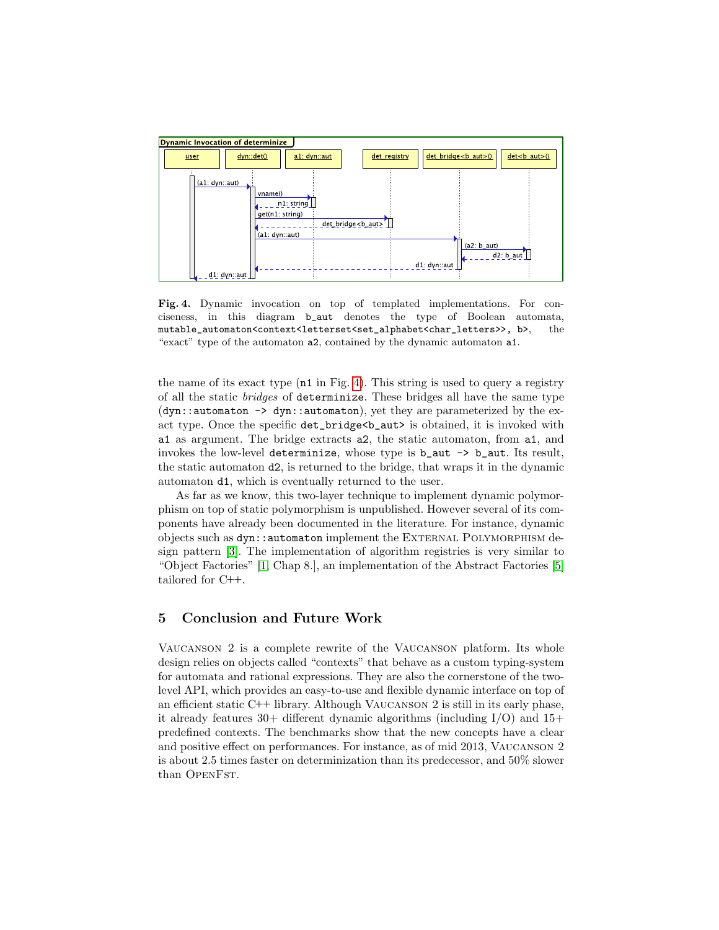

<span id="page-10-1"></span>Fig. 4. Dynamic invocation on top of templated implementations. For conciseness, in this diagram b\_aut denotes the type of Boolean automata, mutable\_automaton<context<letterset<set\_alphabet<char\_letters>>, b>, the "exact" type of the automaton a2, contained by the dynamic automaton a1.

the name of its exact type (n1 in Fig. [4\)](#page-10-1). This string is used to query a registry of all the static bridges of determinize. These bridges all have the same type  $(\text{dyn}:$  automaton  $\rightarrow$  dyn:: automaton), yet they are parameterized by the exact type. Once the specific det\_bridge<b\_aut> is obtained, it is invoked with a1 as argument. The bridge extracts a2, the static automaton, from a1, and invokes the low-level determinize, whose type is b\_aut -> b\_aut. Its result, the static automaton d2, is returned to the bridge, that wraps it in the dynamic automaton d1, which is eventually returned to the user.

As far as we know, this two-layer technique to implement dynamic polymorphism on top of static polymorphism is unpublished. However several of its components have already been documented in the literature. For instance, dynamic objects such as dyn::automaton implement the External Polymorphism design pattern [\[3\]](#page-11-7). The implementation of algorithm registries is very similar to "Object Factories" [\[1,](#page-11-8) Chap 8.], an implementation of the Abstract Factories [\[5\]](#page-11-9) tailored for C++.

## <span id="page-10-0"></span>5 Conclusion and Future Work

Vaucanson 2 is a complete rewrite of the Vaucanson platform. Its whole design relies on objects called "contexts" that behave as a custom typing-system for automata and rational expressions. They are also the cornerstone of the twolevel API, which provides an easy-to-use and flexible dynamic interface on top of an efficient static C++ library. Although Vaucanson 2 is still in its early phase, it already features  $30+$  different dynamic algorithms (including I/O) and  $15+$ predefined contexts. The benchmarks show that the new concepts have a clear and positive effect on performances. For instance, as of mid 2013, Vaucanson 2 is about 2.5 times faster on determinization than its predecessor, and 50% slower than OpenFst.